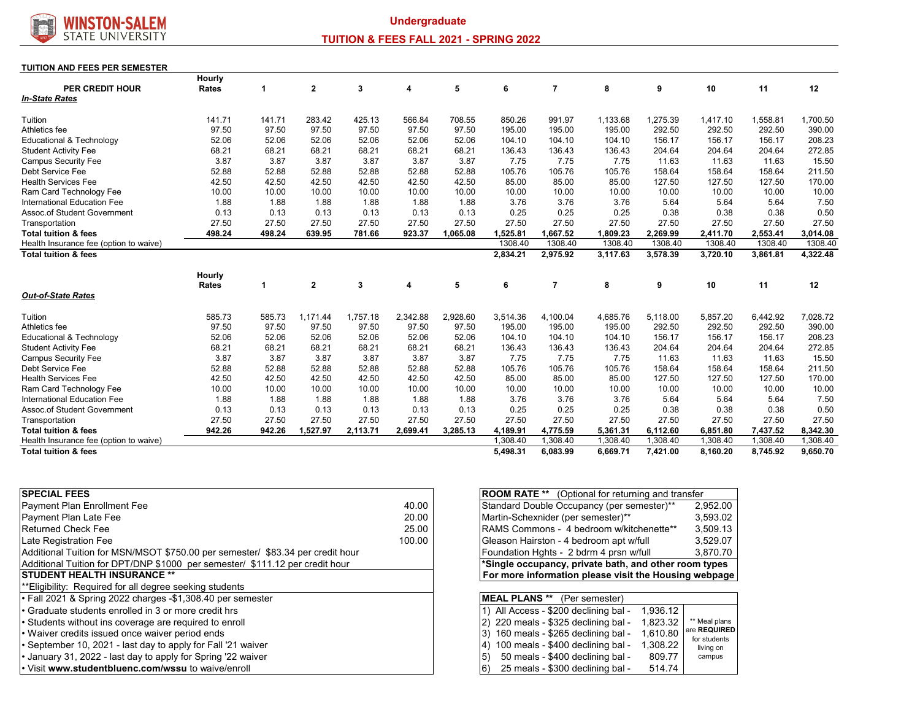

# **TUITION & FEES FALL 2021 - SPRING 2022**

#### **TUITION AND FEES PER SEMESTER**

|                                                           | Hourly          |                 |                   |                   |                   |                   |                    |                    |                    |                    |                    |                    |                    |
|-----------------------------------------------------------|-----------------|-----------------|-------------------|-------------------|-------------------|-------------------|--------------------|--------------------|--------------------|--------------------|--------------------|--------------------|--------------------|
| <b>PER CREDIT HOUR</b>                                    | <b>Rates</b>    | 1               | $\mathbf{2}$      | 3                 | 4                 | 5                 | 6                  | 7                  | 8                  | 9                  | 10                 | 11                 | 12                 |
| <b>In-State Rates</b>                                     |                 |                 |                   |                   |                   |                   |                    |                    |                    |                    |                    |                    |                    |
| Tuition                                                   | 141.71          | 141.71          | 283.42            | 425.13            | 566.84            | 708.55            | 850.26             | 991.97             | 1.133.68           | 1,275.39           | 1.417.10           | 1,558.81           | 1,700.50           |
| Athletics fee                                             | 97.50           | 97.50           | 97.50             | 97.50             | 97.50             | 97.50             | 195.00             | 195.00             | 195.00             | 292.50             | 292.50             | 292.50             | 390.00             |
| Educational & Technology                                  | 52.06           | 52.06           | 52.06             | 52.06             | 52.06             | 52.06             | 104.10             | 104.10             | 104.10             | 156.17             | 156.17             | 156.17             | 208.23             |
| <b>Student Activity Fee</b>                               | 68.21           | 68.21           | 68.21             | 68.21             | 68.21             | 68.21             | 136.43             | 136.43             | 136.43             | 204.64             | 204.64             | 204.64             | 272.85             |
| <b>Campus Security Fee</b>                                | 3.87            | 3.87            | 3.87              | 3.87              | 3.87              | 3.87              | 7.75               | 7.75               | 7.75               | 11.63              | 11.63              | 11.63              | 15.50              |
| Debt Service Fee                                          | 52.88           | 52.88           | 52.88             | 52.88             | 52.88             | 52.88             | 105.76             | 105.76             | 105.76             | 158.64             | 158.64             | 158.64             | 211.50             |
| <b>Health Services Fee</b>                                | 42.50           | 42.50           | 42.50             | 42.50             | 42.50             | 42.50             | 85.00              | 85.00              | 85.00              | 127.50             | 127.50             | 127.50             | 170.00             |
| Ram Card Technology Fee                                   | 10.00           | 10.00           | 10.00             | 10.00             | 10.00             | 10.00             | 10.00              | 10.00              | 10.00              | 10.00              | 10.00              | 10.00              | 10.00              |
| International Education Fee                               | 1.88            | 1.88            | 1.88              | 1.88              | 1.88              | 1.88              | 3.76               | 3.76               | 3.76               | 5.64               | 5.64               | 5.64               | 7.50               |
| <b>Assoc.of Student Government</b>                        | 0.13            | 0.13            | 0.13              | 0.13              | 0.13              | 0.13              | 0.25               | 0.25               | 0.25               | 0.38               | 0.38               | 0.38               | 0.50               |
| Transportation                                            | 27.50           | 27.50           | 27.50             | 27.50             | 27.50             | 27.50             | 27.50              | 27.50              | 27.50              | 27.50              | 27.50              | 27.50              | 27.50              |
| <b>Total tuition &amp; fees</b>                           | 498.24          | 498.24          | 639.95            | 781.66            | 923.37            | 1.065.08          | 1.525.81           | 1.667.52           | 1.809.23           | 2.269.99           | 2,411.70           | 2.553.41           | 3.014.08           |
| Health Insurance fee (option to waive)                    |                 |                 |                   |                   |                   |                   | 1308.40            | 1308.40            | 1308.40            | 1308.40            | 1308.40            | 1308.40            | 1308.40            |
| <b>Total tuition &amp; fees</b>                           |                 |                 |                   |                   |                   |                   | 2,834.21           | 2,975.92           | 3,117.63           | 3,578.39           | 3,720.10           | 3,861.81           | 4,322.48           |
|                                                           | Hourly          |                 |                   |                   |                   |                   |                    |                    |                    |                    |                    |                    |                    |
|                                                           | Rates           | 1               | $\mathbf{2}$      | 3                 | 4                 | 5                 | 6                  | 7                  | 8                  | 9                  | 10                 | 11                 | 12                 |
| <b>Out-of-State Rates</b>                                 |                 |                 |                   |                   |                   |                   |                    |                    |                    |                    |                    |                    |                    |
| Tuition                                                   |                 |                 |                   |                   |                   |                   |                    |                    |                    |                    |                    |                    |                    |
| Athletics fee                                             | 585.73<br>97.50 | 585.73<br>97.50 | 1.171.44<br>97.50 | 1,757.18<br>97.50 | 2,342.88<br>97.50 | 2,928.60<br>97.50 | 3,514.36<br>195.00 | 4,100.04<br>195.00 | 4,685.76<br>195.00 | 5,118.00<br>292.50 | 5,857.20<br>292.50 | 6,442.92<br>292.50 | 7,028.72<br>390.00 |
| Educational & Technology                                  |                 | 52.06           | 52.06             | 52.06             | 52.06             | 52.06             | 104.10             | 104.10             | 104.10             | 156.17             | 156.17             | 156.17             | 208.23             |
|                                                           | 52.06<br>68.21  | 68.21           | 68.21             | 68.21             | 68.21             | 68.21             | 136.43             | 136.43             | 136.43             | 204.64             | 204.64             | 204.64             | 272.85             |
| <b>Student Activity Fee</b><br><b>Campus Security Fee</b> | 3.87            | 3.87            | 3.87              | 3.87              | 3.87              | 3.87              | 7.75               | 7.75               | 7.75               | 11.63              | 11.63              | 11.63              | 15.50              |
| Debt Service Fee                                          | 52.88           | 52.88           | 52.88             | 52.88             | 52.88             | 52.88             | 105.76             | 105.76             | 105.76             | 158.64             | 158.64             | 158.64             | 211.50             |
| <b>Health Services Fee</b>                                | 42.50           | 42.50           | 42.50             | 42.50             | 42.50             | 42.50             | 85.00              | 85.00              | 85.00              | 127.50             | 127.50             | 127.50             | 170.00             |
| Ram Card Technology Fee                                   | 10.00           | 10.00           | 10.00             | 10.00             | 10.00             | 10.00             | 10.00              | 10.00              | 10.00              | 10.00              | 10.00              | 10.00              | 10.00              |
| <b>International Education Fee</b>                        | 1.88            | 1.88            | 1.88              | 1.88              | 1.88              | 1.88              | 3.76               | 3.76               | 3.76               | 5.64               | 5.64               | 5.64               | 7.50               |
| <b>Assoc.of Student Government</b>                        | 0.13            | 0.13            | 0.13              | 0.13              | 0.13              | 0.13              | 0.25               | 0.25               | 0.25               | 0.38               | 0.38               | 0.38               | 0.50               |
| Transportation                                            | 27.50           | 27.50           | 27.50             | 27.50             | 27.50             | 27.50             | 27.50              | 27.50              | 27.50              | 27.50              | 27.50              | 27.50              | 27.50              |
| <b>Total tuition &amp; fees</b>                           | 942.26          | 942.26          | 1.527.97          | 2,113.71          | 2.699.41          | 3.285.13          | 4.189.91           | 4,775.59           | 5.361.31           | 6.112.60           | 6.851.80           | 7.437.52           | 8,342.30           |
| Health Insurance fee (option to waive)                    |                 |                 |                   |                   |                   |                   | ,308.40            | 1,308.40           | 1,308.40           | 1,308.40           | 1,308.40           | 1,308.40           | .308.40            |
| <b>Total tuition &amp; fees</b>                           |                 |                 |                   |                   |                   |                   | 5.498.31           | 6.083.99           | 6.669.71           | 7.421.00           | 8.160.20           | 8.745.92           | 9.650.70           |
|                                                           |                 |                 |                   |                   |                   |                   |                    |                    |                    |                    |                    |                    |                    |

| <b>SPECIAL FEES</b>                                                            |        |
|--------------------------------------------------------------------------------|--------|
| Payment Plan Enrollment Fee                                                    | 40.00  |
| Payment Plan Late Fee                                                          | 20.00  |
| <b>Returned Check Fee</b>                                                      | 25.00  |
| Late Registration Fee                                                          | 100.00 |
| Additional Tuition for MSN/MSOT \$750.00 per semester/ \$83.34 per credit hour |        |
| Additional Tuition for DPT/DNP \$1000 per semester/ \$111.12 per credit hour   |        |
| <b>STUDENT HEALTH INSURANCE **</b>                                             |        |
| **Eligibility: Reguired for all degree seeking students                        |        |
| • Fall 2021 & Spring 2022 charges -\$1,308.40 per semester                     |        |
| • Graduate students enrolled in 3 or more credit hrs                           |        |
| • Students without ins coverage are required to enroll                         |        |
| • Waiver credits issued once waiver period ends                                |        |
| • September 10, 2021 - last day to apply for Fall '21 waiver                   |        |
| • January 31, 2022 - last day to apply for Spring '22 waiver                   |        |
| . Visit www.studentbluenc.com/wssu to waive/enroll                             |        |

| <b>ROOM RATE **</b> (Optional for returning and transfer |                              |  |  |  |  |  |  |  |  |  |
|----------------------------------------------------------|------------------------------|--|--|--|--|--|--|--|--|--|
| Standard Double Occupancy (per semester)**<br>2,952.00   |                              |  |  |  |  |  |  |  |  |  |
| Martin-Schexnider (per semester)**<br>3.593.02           |                              |  |  |  |  |  |  |  |  |  |
| RAMS Commons - 4 bedroom w/kitchenette**<br>3,509.13     |                              |  |  |  |  |  |  |  |  |  |
| Gleason Hairston - 4 bedroom apt w/full                  | 3.529.07                     |  |  |  |  |  |  |  |  |  |
| Foundation Hghts - 2 bdrm 4 prsn w/full                  | 3,870.70                     |  |  |  |  |  |  |  |  |  |
| *Single occupancy, private bath, and other room types    |                              |  |  |  |  |  |  |  |  |  |
| For more information please visit the Housing webpage    |                              |  |  |  |  |  |  |  |  |  |
|                                                          |                              |  |  |  |  |  |  |  |  |  |
| <b>MEAL PLANS **</b> (Per semester)                      |                              |  |  |  |  |  |  |  |  |  |
| 1) All Access - \$200 declining bal -<br>1.936.12        |                              |  |  |  |  |  |  |  |  |  |
| 220 meals - \$325 declining bal -<br>1,823.32<br>2)      | ** Meal plans                |  |  |  |  |  |  |  |  |  |
| 160 meals - \$265 declining bal -<br>1.610.80<br>3)      | are REQUIRED<br>for students |  |  |  |  |  |  |  |  |  |
| 100 meals - \$400 declining bal -<br>1.308.22<br>4)      | living on                    |  |  |  |  |  |  |  |  |  |
| 50 meals - \$400 declining bal -<br>5)<br>809.77         | campus                       |  |  |  |  |  |  |  |  |  |
|                                                          |                              |  |  |  |  |  |  |  |  |  |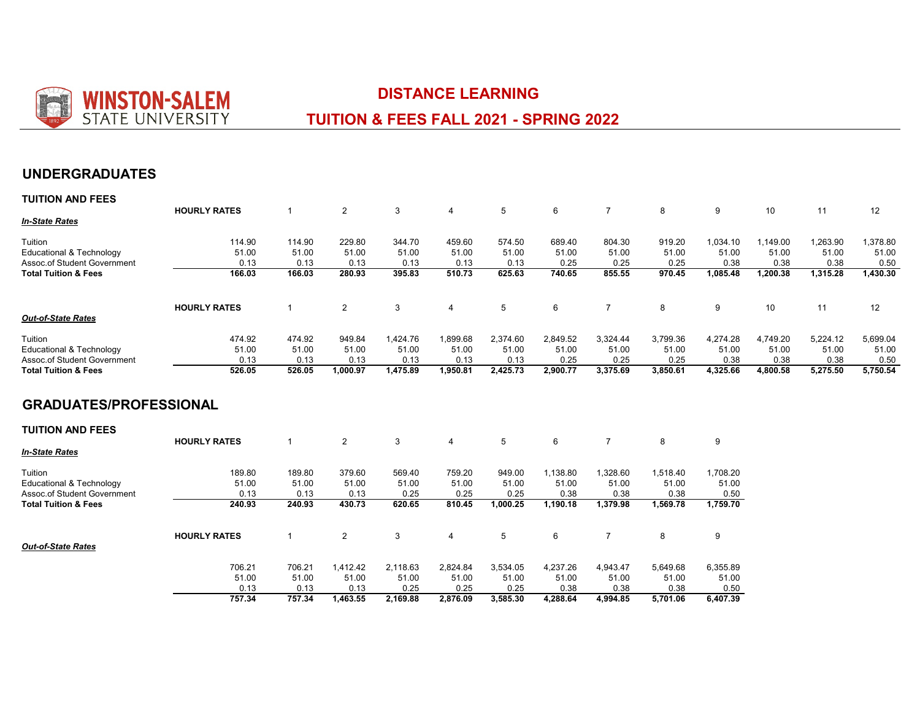

 $\overline{\phantom{a}}$ 

0.13 **757.34** 

0.13 **757.34** 

0.13 **1,463.55** 

0.25 **2,169.88** 

# **DISTANCE LEARNING**

# **TUITION & FEES FALL 2021 - SPRING 2022**

# **UNDERGRADUATES**

| <b>TUITION AND FEES</b>             |                     |              |                |          |                |            |          |                |          |          |          |          |          |
|-------------------------------------|---------------------|--------------|----------------|----------|----------------|------------|----------|----------------|----------|----------|----------|----------|----------|
|                                     | <b>HOURLY RATES</b> | -1           | $\overline{c}$ | 3        | $\overline{4}$ | 5          | 6        | $\overline{7}$ | 8        | 9        | 10       | 11       | 12       |
| <b>In-State Rates</b>               |                     |              |                |          |                |            |          |                |          |          |          |          |          |
| Tuition                             | 114.90              | 114.90       | 229.80         | 344.70   | 459.60         | 574.50     | 689.40   | 804.30         | 919.20   | 1,034.10 | 1,149.00 | 1,263.90 | 1,378.80 |
| <b>Educational &amp; Technology</b> | 51.00               | 51.00        | 51.00          | 51.00    | 51.00          | 51.00      | 51.00    | 51.00          | 51.00    | 51.00    | 51.00    | 51.00    | 51.00    |
| <b>Assoc.of Student Government</b>  | 0.13                | 0.13         | 0.13           | 0.13     | 0.13           | 0.13       | 0.25     | 0.25           | 0.25     | 0.38     | 0.38     | 0.38     | 0.50     |
| <b>Total Tuition &amp; Fees</b>     | 166.03              | 166.03       | 280.93         | 395.83   | 510.73         | 625.63     | 740.65   | 855.55         | 970.45   | 1,085.48 | 1,200.38 | 1,315.28 | 1,430.30 |
|                                     | <b>HOURLY RATES</b> | $\mathbf 1$  | $\overline{c}$ | 3        | 4              | $\sqrt{5}$ | 6        | $\overline{7}$ | 8        | 9        | 10       | 11       | 12       |
| <b>Out-of-State Rates</b>           |                     |              |                |          |                |            |          |                |          |          |          |          |          |
| Tuition                             | 474.92              | 474.92       | 949.84         | 1,424.76 | 1,899.68       | 2,374.60   | 2,849.52 | 3,324.44       | 3,799.36 | 4,274.28 | 4,749.20 | 5,224.12 | 5,699.04 |
| <b>Educational &amp; Technology</b> | 51.00               | 51.00        | 51.00          | 51.00    | 51.00          | 51.00      | 51.00    | 51.00          | 51.00    | 51.00    | 51.00    | 51.00    | 51.00    |
| Assoc.of Student Government         | 0.13                | 0.13         | 0.13           | 0.13     | 0.13           | 0.13       | 0.25     | 0.25           | 0.25     | 0.38     | 0.38     | 0.38     | 0.50     |
| <b>Total Tuition &amp; Fees</b>     | 526.05              | 526.05       | 1,000.97       | 1,475.89 | 1,950.81       | 2,425.73   | 2,900.77 | 3,375.69       | 3,850.61 | 4,325.66 | 4,800.58 | 5,275.50 | 5,750.54 |
| <b>GRADUATES/PROFESSIONAL</b>       |                     |              |                |          |                |            |          |                |          |          |          |          |          |
| <b>TUITION AND FEES</b>             |                     |              |                |          |                |            |          |                |          |          |          |          |          |
|                                     | <b>HOURLY RATES</b> | $\mathbf 1$  | $\overline{c}$ | 3        | 4              | 5          | 6        | $\overline{7}$ | 8        | 9        |          |          |          |
| <b>In-State Rates</b>               |                     |              |                |          |                |            |          |                |          |          |          |          |          |
| Tuition                             | 189.80              | 189.80       | 379.60         | 569.40   | 759.20         | 949.00     | 1,138.80 | 1,328.60       | 1,518.40 | 1,708.20 |          |          |          |
| Educational & Technology            | 51.00               | 51.00        | 51.00          | 51.00    | 51.00          | 51.00      | 51.00    | 51.00          | 51.00    | 51.00    |          |          |          |
| Assoc.of Student Government         | 0.13                | 0.13         | 0.13           | 0.25     | 0.25           | 0.25       | 0.38     | 0.38           | 0.38     | 0.50     |          |          |          |
| <b>Total Tuition &amp; Fees</b>     | 240.93              | 240.93       | 430.73         | 620.65   | 810.45         | 1,000.25   | 1,190.18 | 1,379.98       | 1,569.78 | 1,759.70 |          |          |          |
|                                     | <b>HOURLY RATES</b> | $\mathbf{1}$ | $\overline{c}$ | 3        | 4              | 5          | 6        | $\overline{7}$ | 8        | 9        |          |          |          |
| <b>Out-of-State Rates</b>           |                     |              |                |          |                |            |          |                |          |          |          |          |          |
|                                     | 706.21              | 706.21       | 1,412.42       | 2,118.63 | 2,824.84       | 3,534.05   | 4,237.26 | 4,943.47       | 5,649.68 | 6,355.89 |          |          |          |
|                                     | 51.00               | 51.00        | 51.00          | 51.00    | 51.00          | 51.00      | 51.00    | 51.00          | 51.00    | 51.00    |          |          |          |

0.25 **2,876.09** 

0.25 **3,585.30** 

0.38 **4,288.64** 

0.38 **4,994.85** 

0.38 **5,701.06** 

0.50 **6,407.39**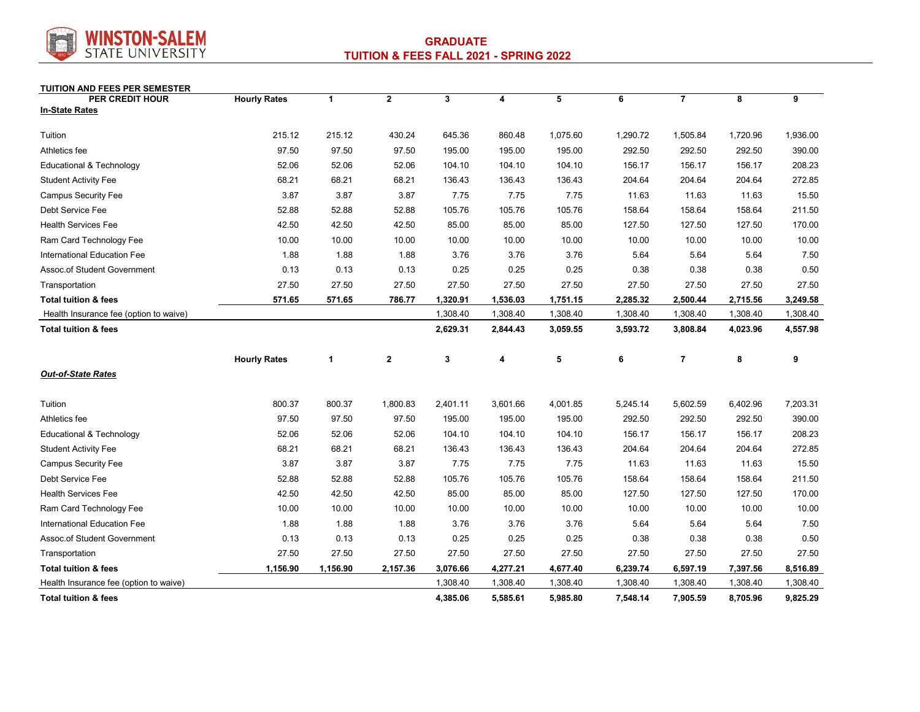

### **TUITION AND FEES PER SEMESTER**

| <b>PER CREDIT HOUR</b>                 | <b>Hourly Rates</b> | $\mathbf{1}$ | $\mathbf{2}$ | 3        | 4        | 5        | 6        | $\overline{7}$ | 8        | 9        |
|----------------------------------------|---------------------|--------------|--------------|----------|----------|----------|----------|----------------|----------|----------|
| <b>In-State Rates</b>                  |                     |              |              |          |          |          |          |                |          |          |
| Tuition                                | 215.12              | 215.12       | 430.24       | 645.36   | 860.48   | 1,075.60 | 1,290.72 | 1,505.84       | 1,720.96 | 1,936.00 |
| Athletics fee                          | 97.50               | 97.50        | 97.50        | 195.00   | 195.00   | 195.00   | 292.50   | 292.50         | 292.50   | 390.00   |
| <b>Educational &amp; Technology</b>    | 52.06               | 52.06        | 52.06        | 104.10   | 104.10   | 104.10   | 156.17   | 156.17         | 156.17   | 208.23   |
| <b>Student Activity Fee</b>            | 68.21               | 68.21        | 68.21        | 136.43   | 136.43   | 136.43   | 204.64   | 204.64         | 204.64   | 272.85   |
| <b>Campus Security Fee</b>             | 3.87                | 3.87         | 3.87         | 7.75     | 7.75     | 7.75     | 11.63    | 11.63          | 11.63    | 15.50    |
| Debt Service Fee                       | 52.88               | 52.88        | 52.88        | 105.76   | 105.76   | 105.76   | 158.64   | 158.64         | 158.64   | 211.50   |
| <b>Health Services Fee</b>             | 42.50               | 42.50        | 42.50        | 85.00    | 85.00    | 85.00    | 127.50   | 127.50         | 127.50   | 170.00   |
| Ram Card Technology Fee                | 10.00               | 10.00        | 10.00        | 10.00    | 10.00    | 10.00    | 10.00    | 10.00          | 10.00    | 10.00    |
| International Education Fee            | 1.88                | 1.88         | 1.88         | 3.76     | 3.76     | 3.76     | 5.64     | 5.64           | 5.64     | 7.50     |
| Assoc.of Student Government            | 0.13                | 0.13         | 0.13         | 0.25     | 0.25     | 0.25     | 0.38     | 0.38           | 0.38     | 0.50     |
| Transportation                         | 27.50               | 27.50        | 27.50        | 27.50    | 27.50    | 27.50    | 27.50    | 27.50          | 27.50    | 27.50    |
| <b>Total tuition &amp; fees</b>        | 571.65              | 571.65       | 786.77       | 1,320.91 | 1,536.03 | 1,751.15 | 2,285.32 | 2,500.44       | 2,715.56 | 3,249.58 |
| Health Insurance fee (option to waive) |                     |              |              | 1,308.40 | 1,308.40 | 1,308.40 | 1,308.40 | 1,308.40       | 1,308.40 | 1,308.40 |
| <b>Total tuition &amp; fees</b>        |                     |              |              | 2,629.31 | 2,844.43 | 3,059.55 | 3,593.72 | 3,808.84       | 4,023.96 | 4,557.98 |
|                                        | <b>Hourly Rates</b> | 1            | $\mathbf{2}$ | 3        | 4        | 5        | 6        | 7              | 8        | 9        |
| <b>Out-of-State Rates</b>              |                     |              |              |          |          |          |          |                |          |          |
| Tuition                                | 800.37              | 800.37       | 1,800.83     | 2,401.11 | 3,601.66 | 4,001.85 | 5,245.14 | 5,602.59       | 6,402.96 | 7,203.31 |
| Athletics fee                          | 97.50               | 97.50        | 97.50        | 195.00   | 195.00   | 195.00   | 292.50   | 292.50         | 292.50   | 390.00   |
| Educational & Technology               | 52.06               | 52.06        | 52.06        | 104.10   | 104.10   | 104.10   | 156.17   | 156.17         | 156.17   | 208.23   |
| <b>Student Activity Fee</b>            | 68.21               | 68.21        | 68.21        | 136.43   | 136.43   | 136.43   | 204.64   | 204.64         | 204.64   | 272.85   |
| <b>Campus Security Fee</b>             | 3.87                | 3.87         | 3.87         | 7.75     | 7.75     | 7.75     | 11.63    | 11.63          | 11.63    | 15.50    |
| Debt Service Fee                       | 52.88               | 52.88        | 52.88        | 105.76   | 105.76   | 105.76   | 158.64   | 158.64         | 158.64   | 211.50   |
| <b>Health Services Fee</b>             | 42.50               | 42.50        | 42.50        | 85.00    | 85.00    | 85.00    | 127.50   | 127.50         | 127.50   | 170.00   |
| Ram Card Technology Fee                | 10.00               | 10.00        | 10.00        | 10.00    | 10.00    | 10.00    | 10.00    | 10.00          | 10.00    | 10.00    |
| International Education Fee            | 1.88                | 1.88         | 1.88         | 3.76     | 3.76     | 3.76     | 5.64     | 5.64           | 5.64     | 7.50     |
| Assoc.of Student Government            | 0.13                | 0.13         | 0.13         | 0.25     | 0.25     | 0.25     | 0.38     | 0.38           | 0.38     | 0.50     |
| Transportation                         | 27.50               | 27.50        | 27.50        | 27.50    | 27.50    | 27.50    | 27.50    | 27.50          | 27.50    | 27.50    |
| <b>Total tuition &amp; fees</b>        | 1,156.90            | 1,156.90     | 2,157.36     | 3,076.66 | 4,277.21 | 4,677.40 | 6,239.74 | 6,597.19       | 7,397.56 | 8,516.89 |
| Health Insurance fee (option to waive) |                     |              |              | 1,308.40 | 1,308.40 | 1,308.40 | 1,308.40 | 1,308.40       | 1,308.40 | 1,308.40 |
| <b>Total tuition &amp; fees</b>        |                     |              |              | 4,385.06 | 5,585.61 | 5,985.80 | 7,548.14 | 7,905.59       | 8,705.96 | 9,825.29 |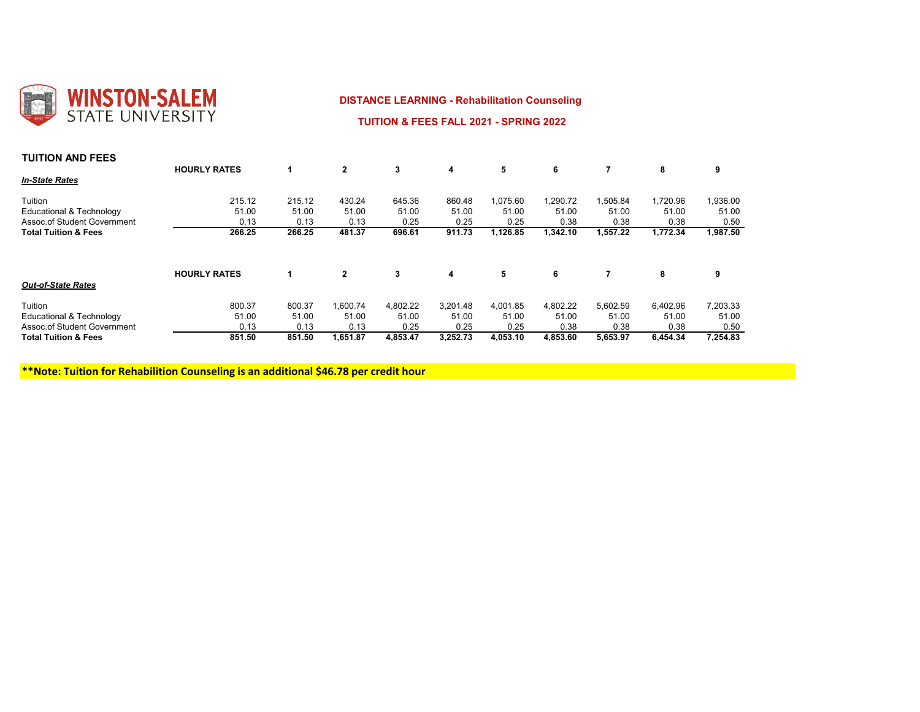

## **DISTANCE LEARNING - Rehabilitation Counseling**

 **TUITION & FEES FALL 2021 - SPRING 2022** 

| <b>TUITION AND FEES</b>            |                     |        |                |          |          |          |          |          |          |          |
|------------------------------------|---------------------|--------|----------------|----------|----------|----------|----------|----------|----------|----------|
|                                    | <b>HOURLY RATES</b> |        | $\mathbf{2}$   | 3        | 4        | 5        | 6        |          | 8        | 9        |
| <b>In-State Rates</b>              |                     |        |                |          |          |          |          |          |          |          |
| Tuition                            | 215.12              | 215.12 | 430.24         | 645.36   | 860.48   | 1,075.60 | ,290.72  | 1,505.84 | 1,720.96 | 1,936.00 |
| Educational & Technology           | 51.00               | 51.00  | 51.00          | 51.00    | 51.00    | 51.00    | 51.00    | 51.00    | 51.00    | 51.00    |
| <b>Assoc.of Student Government</b> | 0.13                | 0.13   | 0.13           | 0.25     | 0.25     | 0.25     | 0.38     | 0.38     | 0.38     | 0.50     |
| <b>Total Tuition &amp; Fees</b>    | 266.25              | 266.25 | 481.37         | 696.61   | 911.73   | 1,126.85 | 1,342.10 | 1,557.22 | 1,772.34 | 1,987.50 |
|                                    | <b>HOURLY RATES</b> |        | $\overline{2}$ | 3        | 4        | 5        | 6        |          | 8        | 9        |
| <b>Out-of-State Rates</b>          |                     |        |                |          |          |          |          |          |          |          |
| Tuition                            | 800.37              | 800.37 | 1,600.74       | 4,802.22 | 3,201.48 | 4,001.85 | 4,802.22 | 5,602.59 | 6,402.96 | 7,203.33 |
| Educational & Technology           | 51.00               | 51.00  | 51.00          | 51.00    | 51.00    | 51.00    | 51.00    | 51.00    | 51.00    | 51.00    |
| <b>Assoc.of Student Government</b> | 0.13                | 0.13   | 0.13           | 0.25     | 0.25     | 0.25     | 0.38     | 0.38     | 0.38     | 0.50     |
| <b>Total Tuition &amp; Fees</b>    | 851.50              | 851.50 | 1,651.87       | 4,853.47 | 3,252.73 | 4,053.10 | 4,853.60 | 5,653.97 | 6,454.34 | 7,254.83 |

 **\*\*Note: Tuition for Rehabilition Counseling is an additional \$46.78 per credit hour**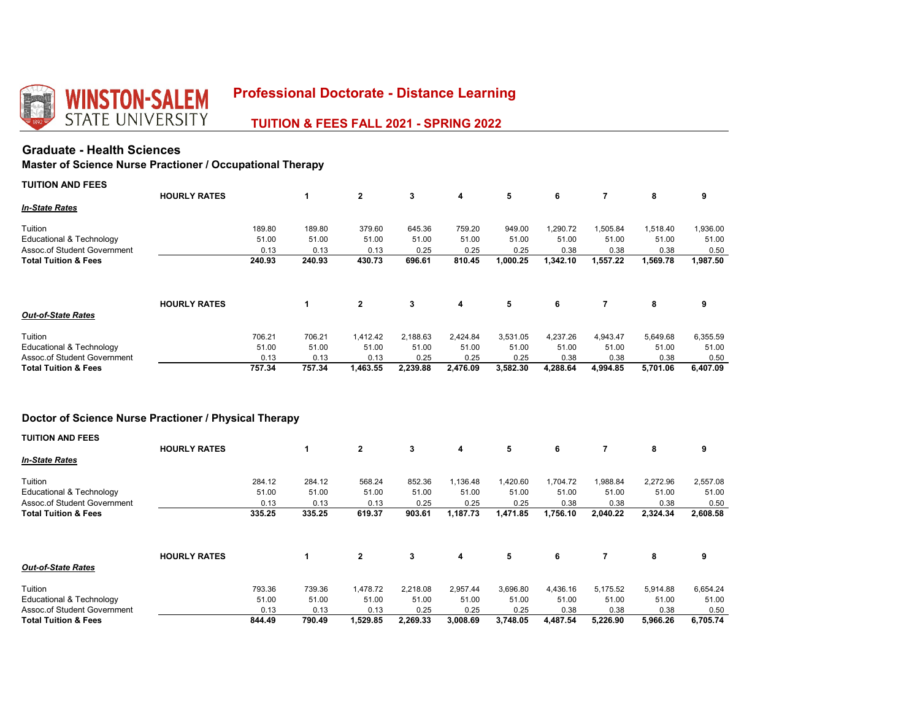

 **TUITION & FEES FALL 2021 - SPRING 2022** 

# **Graduate - Health Sciences**

# **Master of Science Nurse Practioner / Occupational Therapy**

| <b>TUITION AND FEES</b>                                        |                     |                 |                 |                 |                 |                 |                  |                   |                   |                   |                   |
|----------------------------------------------------------------|---------------------|-----------------|-----------------|-----------------|-----------------|-----------------|------------------|-------------------|-------------------|-------------------|-------------------|
| <b>In-State Rates</b>                                          | <b>HOURLY RATES</b> |                 | 1               | $\overline{2}$  | 3               | 4               | 5                | 6                 | 7                 | 8                 | 9                 |
| Tuition                                                        |                     |                 |                 |                 |                 |                 |                  |                   |                   |                   |                   |
| Educational & Technology                                       |                     | 189.80<br>51.00 | 189.80<br>51.00 | 379.60<br>51.00 | 645.36<br>51.00 | 759.20<br>51.00 | 949.00<br>51.00  | 1,290.72<br>51.00 | 1,505.84<br>51.00 | 1,518.40<br>51.00 | 1,936.00<br>51.00 |
| Assoc.of Student Government<br><b>Total Tuition &amp; Fees</b> |                     | 0.13<br>240.93  | 0.13<br>240.93  | 0.13<br>430.73  | 0.25<br>696.61  | 0.25<br>810.45  | 0.25<br>1,000.25 | 0.38<br>1,342.10  | 0.38<br>1,557.22  | 0.38<br>1,569.78  | 0.50<br>1,987.50  |
|                                                                |                     |                 |                 |                 |                 |                 |                  |                   |                   |                   |                   |
|                                                                | <b>HOURLY RATES</b> |                 | 1               | $\overline{2}$  | 3               | 4               | 5                | 6                 | 7                 | 8                 | 9                 |
| <b>Out-of-State Rates</b>                                      |                     |                 |                 |                 |                 |                 |                  |                   |                   |                   |                   |
|                                                                |                     |                 |                 |                 |                 |                 |                  |                   |                   |                   |                   |
| Tuition                                                        |                     | 706.21          | 706.21          | 1,412.42        | 2,188.63        | 2,424.84        | 3,531.05         | 4,237.26          | 4,943.47          | 5,649.68          | 6,355.59          |
| Educational & Technology<br>Assoc.of Student Government        |                     | 51.00<br>0.13   | 51.00<br>0.13   | 51.00<br>0.13   | 51.00<br>0.25   | 51.00<br>0.25   | 51.00<br>0.25    | 51.00<br>0.38     | 51.00<br>0.38     | 51.00<br>0.38     | 51.00<br>0.50     |

# **Doctor of Science Nurse Practioner / Physical Therapy**

| <b>TUITION AND FEES</b>             |                     |        |        |              |          |          |          |          |          |          |          |
|-------------------------------------|---------------------|--------|--------|--------------|----------|----------|----------|----------|----------|----------|----------|
|                                     | <b>HOURLY RATES</b> |        |        | $\mathbf{2}$ | 3        | 4        | 5        | 6        |          | 8        | 9        |
| <b>In-State Rates</b>               |                     |        |        |              |          |          |          |          |          |          |          |
| Tuition                             |                     | 284.12 | 284.12 | 568.24       | 852.36   | 1,136.48 | 1,420.60 | 1,704.72 | 1,988.84 | 2,272.96 | 2,557.08 |
| <b>Educational &amp; Technology</b> |                     | 51.00  | 51.00  | 51.00        | 51.00    | 51.00    | 51.00    | 51.00    | 51.00    | 51.00    | 51.00    |
| Assoc.of Student Government         |                     | 0.13   | 0.13   | 0.13         | 0.25     | 0.25     | 0.25     | 0.38     | 0.38     | 0.38     | 0.50     |
| <b>Total Tuition &amp; Fees</b>     |                     | 335.25 | 335.25 | 619.37       | 903.61   | 1,187.73 | 1,471.85 | 1,756.10 | 2,040.22 | 2,324.34 | 2,608.58 |
|                                     | <b>HOURLY RATES</b> |        | 1      | $\mathbf{2}$ | 3        | 4        | 5        | 6        |          | 8        | 9        |
| <b>Out-of-State Rates</b>           |                     |        |        |              |          |          |          |          |          |          |          |
| Tuition                             |                     | 793.36 | 739.36 | 1.478.72     | 2,218.08 | 2,957.44 | 3,696.80 | 4,436.16 | 5,175.52 | 5,914.88 | 6,654.24 |
| Educational & Technology            |                     | 51.00  | 51.00  | 51.00        | 51.00    | 51.00    | 51.00    | 51.00    | 51.00    | 51.00    | 51.00    |
| Assoc.of Student Government         |                     | 0.13   | 0.13   | 0.13         | 0.25     | 0.25     | 0.25     | 0.38     | 0.38     | 0.38     | 0.50     |
| <b>Total Tuition &amp; Fees</b>     |                     | 844.49 | 790.49 | 1,529.85     | 2.269.33 | 3,008.69 | 3.748.05 | 4,487.54 | 5.226.90 | 5.966.26 | 6,705.74 |